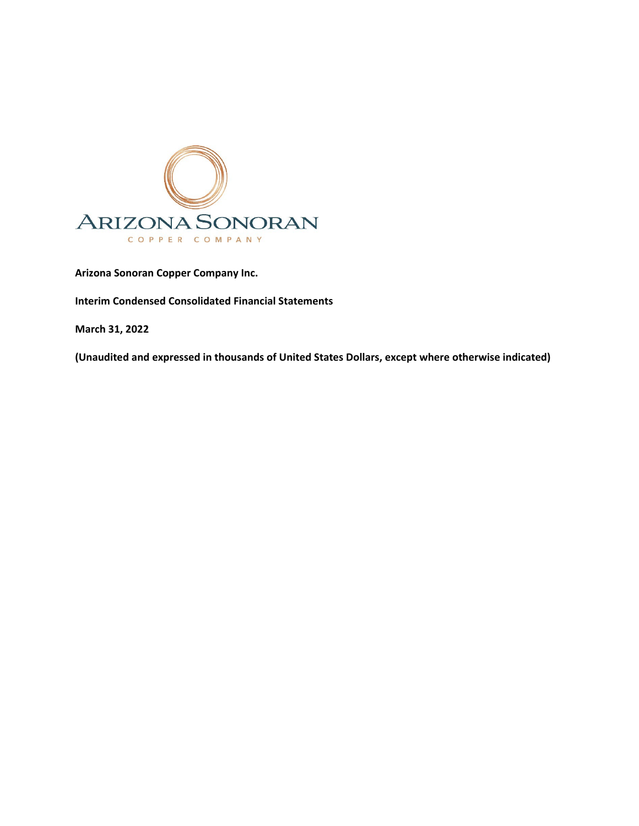

**Arizona Sonoran Copper Company Inc.** 

**Interim Condensed Consolidated Financial Statements** 

**March 31, 2022**

**(Unaudited and expressed in thousands of United States Dollars, except where otherwise indicated)**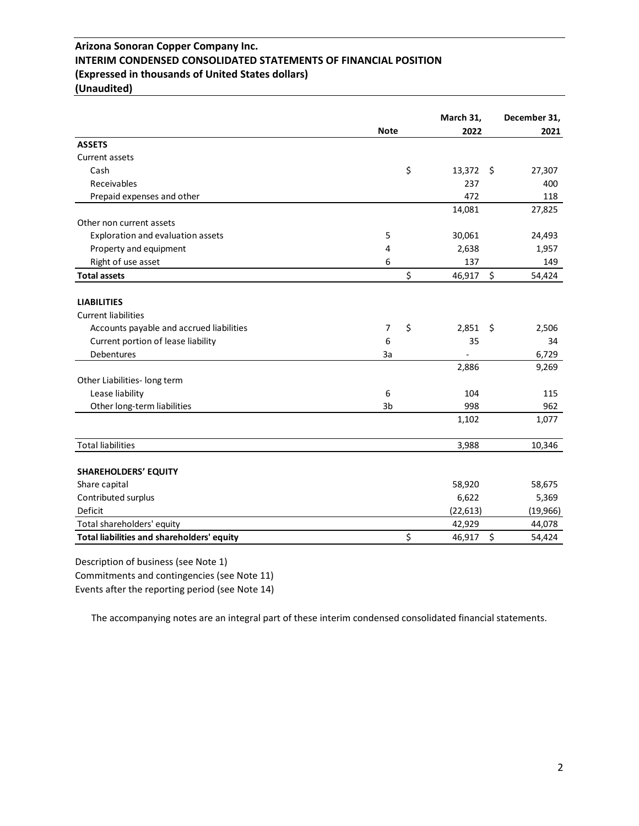## **Arizona Sonoran Copper Company Inc. INTERIM CONDENSED CONSOLIDATED STATEMENTS OF FINANCIAL POSITION (Expressed in thousands of United States dollars) (Unaudited)**

|                                            |                | March 31,    |     | December 31, |
|--------------------------------------------|----------------|--------------|-----|--------------|
|                                            | <b>Note</b>    | 2022         |     | 2021         |
| <b>ASSETS</b>                              |                |              |     |              |
| Current assets                             |                |              |     |              |
| Cash                                       |                | \$<br>13,372 | -\$ | 27,307       |
| Receivables                                |                | 237          |     | 400          |
| Prepaid expenses and other                 |                | 472          |     | 118          |
|                                            |                | 14,081       |     | 27,825       |
| Other non current assets                   |                |              |     |              |
| Exploration and evaluation assets          | 5              | 30,061       |     | 24,493       |
| Property and equipment                     | 4              | 2,638        |     | 1,957        |
| Right of use asset                         | 6              | 137          |     | 149          |
| <b>Total assets</b>                        |                | \$<br>46,917 | \$  | 54,424       |
|                                            |                |              |     |              |
| <b>LIABILITIES</b>                         |                |              |     |              |
| <b>Current liabilities</b>                 |                |              |     |              |
| Accounts payable and accrued liabilities   | 7              | \$<br>2,851  | -\$ | 2,506        |
| Current portion of lease liability         | 6              | 35           |     | 34           |
| <b>Debentures</b>                          | За             |              |     | 6,729        |
|                                            |                | 2,886        |     | 9,269        |
| Other Liabilities- long term               |                |              |     |              |
| Lease liability                            | 6              | 104          |     | 115          |
| Other long-term liabilities                | 3 <sub>b</sub> | 998          |     | 962          |
|                                            |                | 1,102        |     | 1,077        |
| <b>Total liabilities</b>                   |                | 3,988        |     | 10,346       |
| <b>SHAREHOLDERS' EQUITY</b>                |                |              |     |              |
|                                            |                |              |     |              |
| Share capital                              |                | 58,920       |     | 58,675       |
| Contributed surplus                        |                | 6,622        |     | 5,369        |
| Deficit                                    |                | (22, 613)    |     | (19,966)     |
| Total shareholders' equity                 |                | 42,929       |     | 44,078       |
| Total liabilities and shareholders' equity |                | \$<br>46,917 | \$  | 54,424       |

Description of business (see Note 1)

Commitments and contingencies (see Note 11)

Events after the reporting period (see Note 14)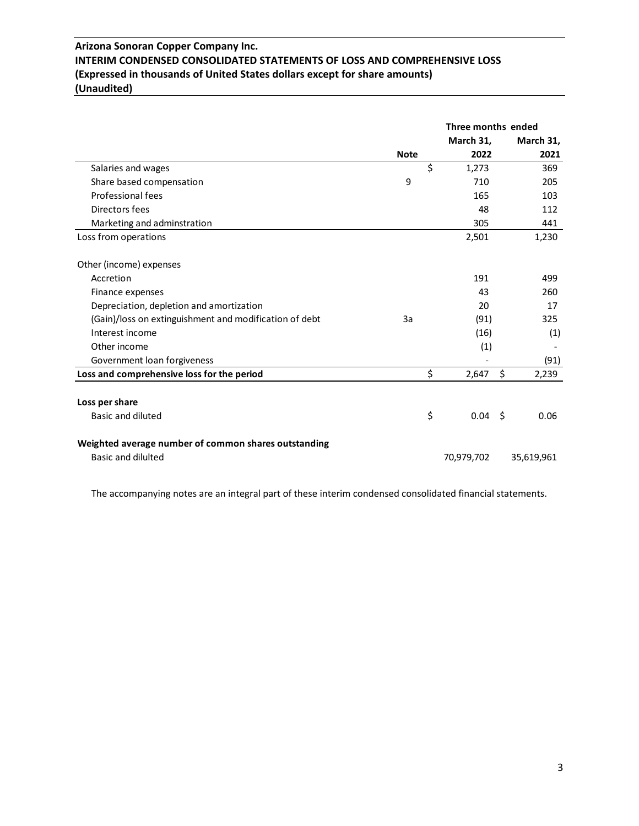## **Arizona Sonoran Copper Company Inc. INTERIM CONDENSED CONSOLIDATED STATEMENTS OF LOSS AND COMPREHENSIVE LOSS (Expressed in thousands of United States dollars except for share amounts) (Unaudited)**

|                                                        |             | Three months ended |             |
|--------------------------------------------------------|-------------|--------------------|-------------|
|                                                        |             | March 31,          | March 31,   |
|                                                        | <b>Note</b> | 2022               | 2021        |
| Salaries and wages                                     | \$          | 1,273              | 369         |
| Share based compensation                               | 9           | 710                | 205         |
| Professional fees                                      |             | 165                | 103         |
| Directors fees                                         |             | 48                 | 112         |
| Marketing and adminstration                            |             | 305                | 441         |
| Loss from operations                                   |             | 2,501              | 1,230       |
| Other (income) expenses                                |             |                    |             |
| Accretion                                              |             | 191                | 499         |
| Finance expenses                                       |             | 43                 | 260         |
| Depreciation, depletion and amortization               |             | 20                 | 17          |
| (Gain)/loss on extinguishment and modification of debt | 3a          | (91)               | 325         |
| Interest income                                        |             | (16)               | (1)         |
| Other income                                           |             | (1)                |             |
| Government loan forgiveness                            |             |                    | (91)        |
| Loss and comprehensive loss for the period             | \$          | 2,647              | \$<br>2,239 |
|                                                        |             |                    |             |
| Loss per share                                         |             |                    |             |
| <b>Basic and diluted</b>                               | \$          | $0.04 \quad$ \$    | 0.06        |
| Weighted average number of common shares outstanding   |             |                    |             |
| <b>Basic and dilulted</b>                              |             | 70,979,702         | 35,619,961  |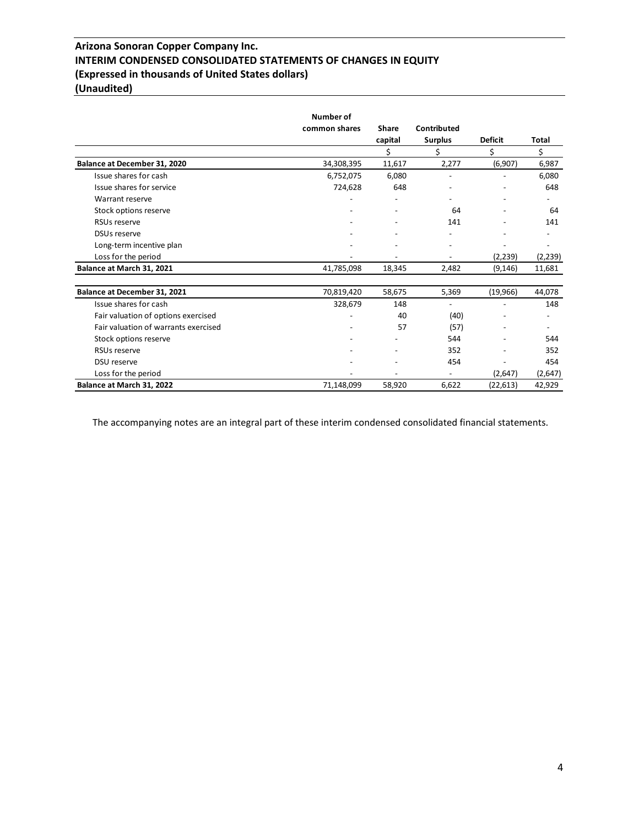## **Arizona Sonoran Copper Company Inc. INTERIM CONDENSED CONSOLIDATED STATEMENTS OF CHANGES IN EQUITY (Expressed in thousands of United States dollars) (Unaudited)**

|                                      | Number of     |                          |                          |                |          |
|--------------------------------------|---------------|--------------------------|--------------------------|----------------|----------|
|                                      | common shares | <b>Share</b>             | Contributed              |                |          |
|                                      |               | capital                  | <b>Surplus</b>           | <b>Deficit</b> | Total    |
|                                      |               | \$                       | \$                       | \$             | \$       |
| Balance at December 31, 2020         | 34,308,395    | 11,617                   | 2,277                    | (6,907)        | 6,987    |
| Issue shares for cash                | 6,752,075     | 6,080                    | $\overline{\phantom{a}}$ |                | 6,080    |
| Issue shares for service             | 724,628       | 648                      |                          |                | 648      |
| Warrant reserve                      |               | $\overline{\phantom{0}}$ |                          |                |          |
| Stock options reserve                |               | $\overline{\phantom{a}}$ | 64                       |                | 64       |
| <b>RSUs reserve</b>                  |               |                          | 141                      |                | 141      |
| <b>DSUs reserve</b>                  |               |                          |                          |                |          |
| Long-term incentive plan             |               |                          |                          |                |          |
| Loss for the period                  |               |                          |                          | (2,239)        | (2, 239) |
| Balance at March 31, 2021            | 41,785,098    | 18,345                   | 2,482                    | (9, 146)       | 11,681   |
| Balance at December 31, 2021         | 70,819,420    | 58,675                   | 5,369                    | (19,966)       | 44,078   |
| Issue shares for cash                | 328,679       | 148                      | $\overline{a}$           |                | 148      |
| Fair valuation of options exercised  |               | 40                       | (40)                     |                |          |
| Fair valuation of warrants exercised |               | 57                       | (57)                     |                |          |
| Stock options reserve                |               |                          | 544                      |                | 544      |
| <b>RSUs reserve</b>                  |               |                          | 352                      |                | 352      |
| DSU reserve                          |               |                          | 454                      |                | 454      |
| Loss for the period                  |               |                          |                          | (2,647)        | (2,647)  |
| Balance at March 31, 2022            | 71,148,099    | 58,920                   | 6,622                    | (22, 613)      | 42,929   |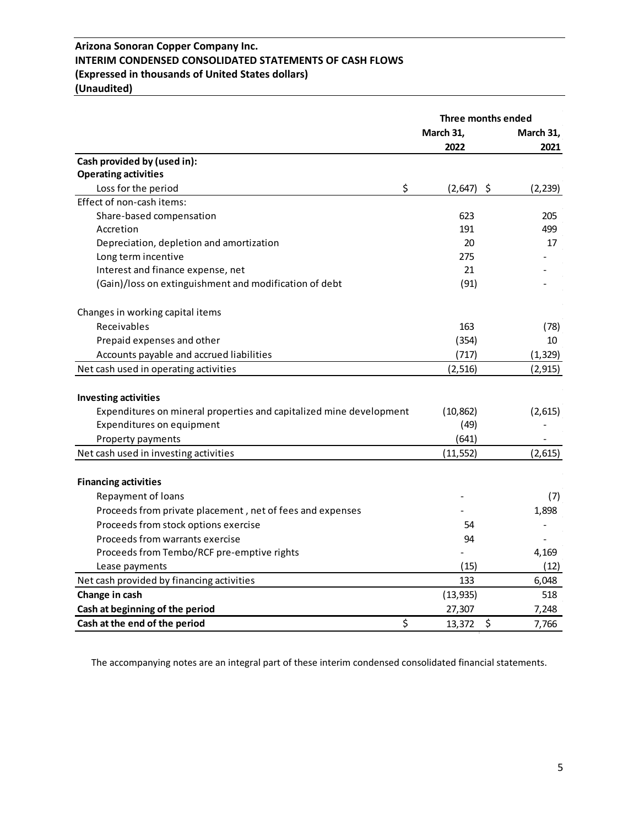## **Arizona Sonoran Copper Company Inc. INTERIM CONDENSED CONSOLIDATED STATEMENTS OF CASH FLOWS (Expressed in thousands of United States dollars) (Unaudited)**

|                                                                     | Three months ended |                |  |
|---------------------------------------------------------------------|--------------------|----------------|--|
|                                                                     | March 31,          | March 31,      |  |
|                                                                     | 2022               | 2021           |  |
| Cash provided by (used in):                                         |                    |                |  |
| <b>Operating activities</b>                                         |                    |                |  |
| \$<br>Loss for the period                                           | (2,647)            | \$<br>(2, 239) |  |
| Effect of non-cash items:                                           |                    |                |  |
| Share-based compensation                                            | 623                | 205            |  |
| Accretion                                                           | 191                | 499            |  |
| Depreciation, depletion and amortization                            | 20                 | 17             |  |
| Long term incentive                                                 | 275                |                |  |
| Interest and finance expense, net                                   | 21                 |                |  |
| (Gain)/loss on extinguishment and modification of debt              | (91)               |                |  |
| Changes in working capital items                                    |                    |                |  |
| Receivables                                                         | 163                | (78)           |  |
| Prepaid expenses and other                                          | (354)              | 10             |  |
| Accounts payable and accrued liabilities                            | (717)              | (1, 329)       |  |
| Net cash used in operating activities                               | (2, 516)           | (2, 915)       |  |
|                                                                     |                    |                |  |
| <b>Investing activities</b>                                         |                    |                |  |
| Expenditures on mineral properties and capitalized mine development | (10, 862)          | (2,615)        |  |
| Expenditures on equipment                                           | (49)               |                |  |
| Property payments                                                   | (641)              |                |  |
| Net cash used in investing activities                               | (11, 552)          | (2,615)        |  |
|                                                                     |                    |                |  |
| <b>Financing activities</b>                                         |                    |                |  |
| Repayment of loans                                                  |                    | (7)            |  |
| Proceeds from private placement, net of fees and expenses           |                    | 1,898          |  |
| Proceeds from stock options exercise                                | 54                 |                |  |
| Proceeds from warrants exercise                                     | 94                 |                |  |
| Proceeds from Tembo/RCF pre-emptive rights                          |                    | 4,169          |  |
| Lease payments                                                      | (15)               | (12)           |  |
| Net cash provided by financing activities                           | 133                | 6,048          |  |
| Change in cash                                                      | (13, 935)          | 518            |  |
| Cash at beginning of the period                                     | 27,307             | 7,248          |  |
| \$<br>Cash at the end of the period                                 | 13,372             | \$<br>7,766    |  |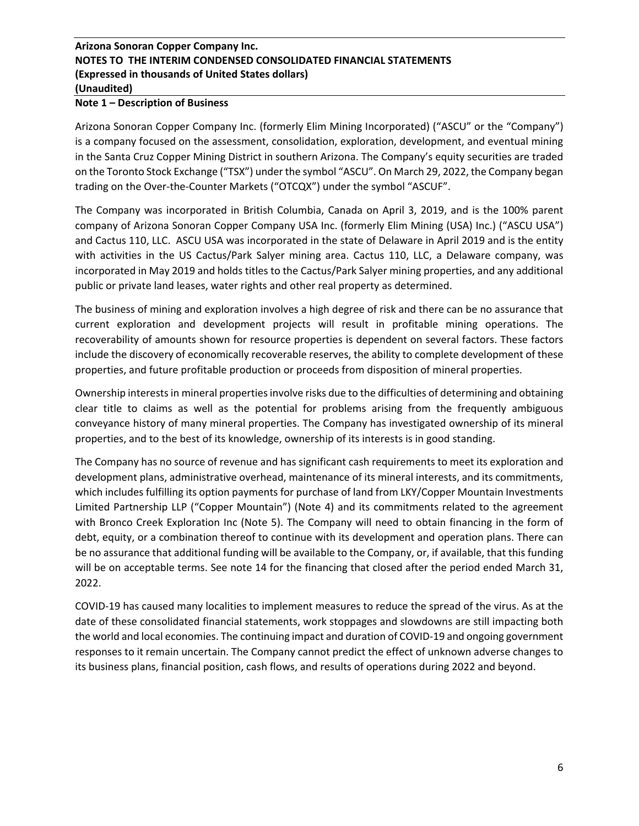### **Note 1 – Description of Business**

Arizona Sonoran Copper Company Inc. (formerly Elim Mining Incorporated) ("ASCU" or the "Company") is a company focused on the assessment, consolidation, exploration, development, and eventual mining in the Santa Cruz Copper Mining District in southern Arizona. The Company's equity securities are traded on the Toronto Stock Exchange ("TSX") under the symbol "ASCU". On March 29, 2022, the Company began trading on the Over-the-Counter Markets ("OTCQX") under the symbol "ASCUF".

The Company was incorporated in British Columbia, Canada on April 3, 2019, and is the 100% parent company of Arizona Sonoran Copper Company USA Inc. (formerly Elim Mining (USA) Inc.) ("ASCU USA") and Cactus 110, LLC. ASCU USA was incorporated in the state of Delaware in April 2019 and is the entity with activities in the US Cactus/Park Salyer mining area. Cactus 110, LLC, a Delaware company, was incorporated in May 2019 and holds titles to the Cactus/Park Salyer mining properties, and any additional public or private land leases, water rights and other real property as determined.

The business of mining and exploration involves a high degree of risk and there can be no assurance that current exploration and development projects will result in profitable mining operations. The recoverability of amounts shown for resource properties is dependent on several factors. These factors include the discovery of economically recoverable reserves, the ability to complete development of these properties, and future profitable production or proceeds from disposition of mineral properties.

Ownership interests in mineral properties involve risks due to the difficulties of determining and obtaining clear title to claims as well as the potential for problems arising from the frequently ambiguous conveyance history of many mineral properties. The Company has investigated ownership of its mineral properties, and to the best of its knowledge, ownership of its interests is in good standing.

The Company has no source of revenue and has significant cash requirements to meet its exploration and development plans, administrative overhead, maintenance of its mineral interests, and its commitments, which includes fulfilling its option payments for purchase of land from LKY/Copper Mountain Investments Limited Partnership LLP ("Copper Mountain") (Note 4) and its commitments related to the agreement with Bronco Creek Exploration Inc (Note 5). The Company will need to obtain financing in the form of debt, equity, or a combination thereof to continue with its development and operation plans. There can be no assurance that additional funding will be available to the Company, or, if available, that this funding will be on acceptable terms. See note 14 for the financing that closed after the period ended March 31, 2022.

COVID-19 has caused many localities to implement measures to reduce the spread of the virus. As at the date of these consolidated financial statements, work stoppages and slowdowns are still impacting both the world and local economies. The continuing impact and duration of COVID-19 and ongoing government responses to it remain uncertain. The Company cannot predict the effect of unknown adverse changes to its business plans, financial position, cash flows, and results of operations during 2022 and beyond.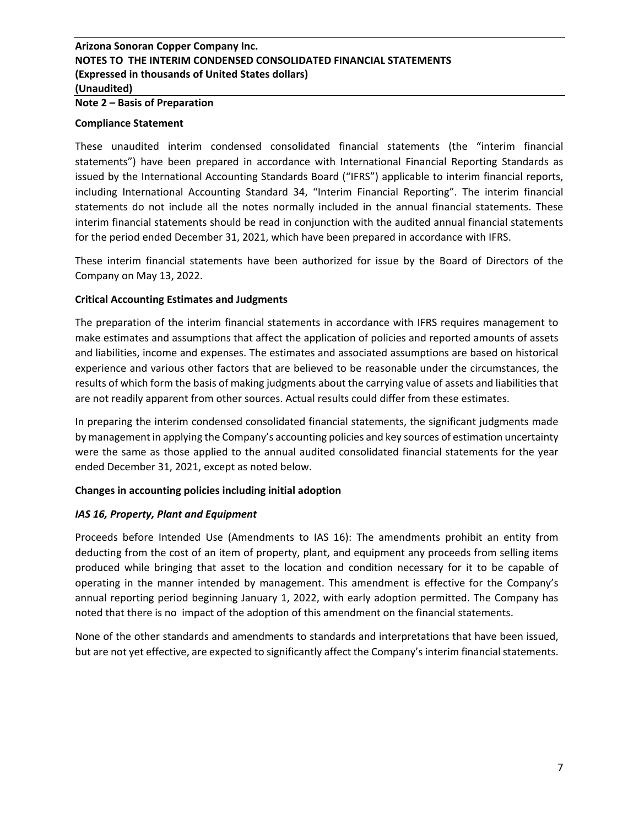#### **Note 2 – Basis of Preparation**

#### **Compliance Statement**

These unaudited interim condensed consolidated financial statements (the "interim financial statements") have been prepared in accordance with International Financial Reporting Standards as issued by the International Accounting Standards Board ("IFRS") applicable to interim financial reports, including International Accounting Standard 34, "Interim Financial Reporting". The interim financial statements do not include all the notes normally included in the annual financial statements. These interim financial statements should be read in conjunction with the audited annual financial statements for the period ended December 31, 2021, which have been prepared in accordance with IFRS.

These interim financial statements have been authorized for issue by the Board of Directors of the Company on May 13, 2022.

### **Critical Accounting Estimates and Judgments**

The preparation of the interim financial statements in accordance with IFRS requires management to make estimates and assumptions that affect the application of policies and reported amounts of assets and liabilities, income and expenses. The estimates and associated assumptions are based on historical experience and various other factors that are believed to be reasonable under the circumstances, the results of which form the basis of making judgments about the carrying value of assets and liabilities that are not readily apparent from other sources. Actual results could differ from these estimates.

In preparing the interim condensed consolidated financial statements, the significant judgments made by management in applying the Company's accounting policies and key sources of estimation uncertainty were the same as those applied to the annual audited consolidated financial statements for the year ended December 31, 2021, except as noted below.

### **Changes in accounting policies including initial adoption**

### *IAS 16, Property, Plant and Equipment*

Proceeds before Intended Use (Amendments to IAS 16): The amendments prohibit an entity from deducting from the cost of an item of property, plant, and equipment any proceeds from selling items produced while bringing that asset to the location and condition necessary for it to be capable of operating in the manner intended by management. This amendment is effective for the Company's annual reporting period beginning January 1, 2022, with early adoption permitted. The Company has noted that there is no impact of the adoption of this amendment on the financial statements.

None of the other standards and amendments to standards and interpretations that have been issued, but are not yet effective, are expected to significantly affect the Company's interim financial statements.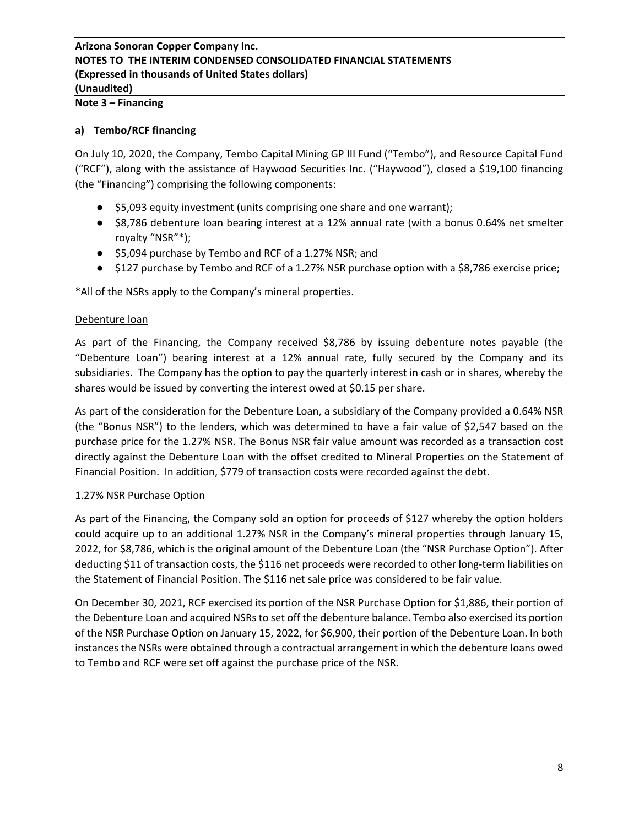# **Note 3 – Financing**

#### **a) Tembo/RCF financing**

On July 10, 2020, the Company, Tembo Capital Mining GP III Fund ("Tembo"), and Resource Capital Fund ("RCF"), along with the assistance of Haywood Securities Inc. ("Haywood"), closed a \$19,100 financing (the "Financing") comprising the following components:

- \$5,093 equity investment (units comprising one share and one warrant);
- \$8,786 debenture loan bearing interest at a 12% annual rate (with a bonus 0.64% net smelter royalty "NSR"\*);
- \$5,094 purchase by Tembo and RCF of a 1.27% NSR; and
- \$127 purchase by Tembo and RCF of a 1.27% NSR purchase option with a \$8,786 exercise price;

\*All of the NSRs apply to the Company's mineral properties.

#### Debenture loan

As part of the Financing, the Company received \$8,786 by issuing debenture notes payable (the "Debenture Loan") bearing interest at a 12% annual rate, fully secured by the Company and its subsidiaries. The Company has the option to pay the quarterly interest in cash or in shares, whereby the shares would be issued by converting the interest owed at \$0.15 per share.

As part of the consideration for the Debenture Loan, a subsidiary of the Company provided a 0.64% NSR (the "Bonus NSR") to the lenders, which was determined to have a fair value of \$2,547 based on the purchase price for the 1.27% NSR. The Bonus NSR fair value amount was recorded as a transaction cost directly against the Debenture Loan with the offset credited to Mineral Properties on the Statement of Financial Position. In addition, \$779 of transaction costs were recorded against the debt.

### 1.27% NSR Purchase Option

As part of the Financing, the Company sold an option for proceeds of \$127 whereby the option holders could acquire up to an additional 1.27% NSR in the Company's mineral properties through January 15, 2022, for \$8,786, which is the original amount of the Debenture Loan (the "NSR Purchase Option"). After deducting \$11 of transaction costs, the \$116 net proceeds were recorded to other long-term liabilities on the Statement of Financial Position. The \$116 net sale price was considered to be fair value.

On December 30, 2021, RCF exercised its portion of the NSR Purchase Option for \$1,886, their portion of the Debenture Loan and acquired NSRs to set off the debenture balance. Tembo also exercised its portion of the NSR Purchase Option on January 15, 2022, for \$6,900, their portion of the Debenture Loan. In both instances the NSRs were obtained through a contractual arrangement in which the debenture loans owed to Tembo and RCF were set off against the purchase price of the NSR.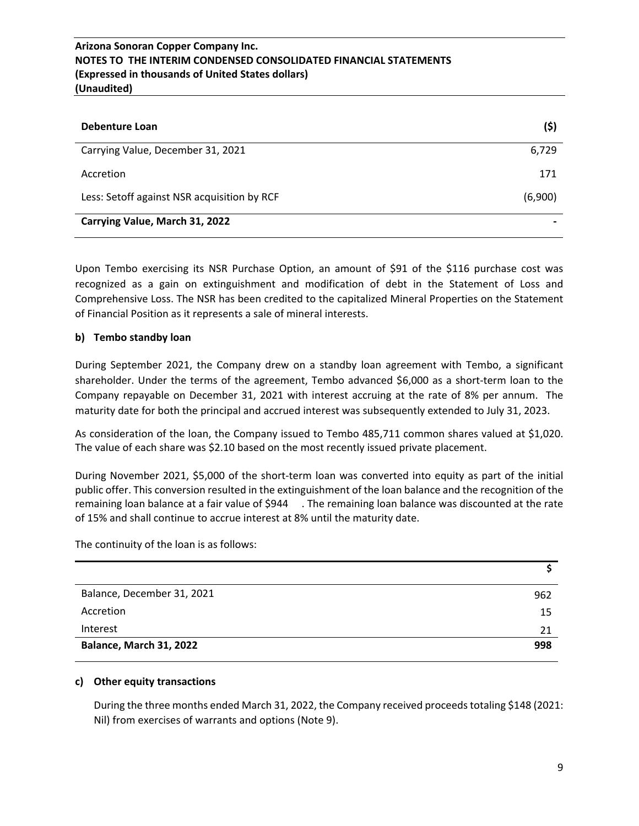| Debenture Loan                              | (\$)    |
|---------------------------------------------|---------|
| Carrying Value, December 31, 2021           | 6,729   |
| Accretion                                   | 171     |
| Less: Setoff against NSR acquisition by RCF | (6,900) |
| Carrying Value, March 31, 2022              |         |

Upon Tembo exercising its NSR Purchase Option, an amount of \$91 of the \$116 purchase cost was recognized as a gain on extinguishment and modification of debt in the Statement of Loss and Comprehensive Loss. The NSR has been credited to the capitalized Mineral Properties on the Statement of Financial Position as it represents a sale of mineral interests.

## **b) Tembo standby loan**

During September 2021, the Company drew on a standby loan agreement with Tembo, a significant shareholder. Under the terms of the agreement, Tembo advanced \$6,000 as a short-term loan to the Company repayable on December 31, 2021 with interest accruing at the rate of 8% per annum. The maturity date for both the principal and accrued interest was subsequently extended to July 31, 2023.

As consideration of the loan, the Company issued to Tembo 485,711 common shares valued at \$1,020. The value of each share was \$2.10 based on the most recently issued private placement.

During November 2021, \$5,000 of the short-term loan was converted into equity as part of the initial public offer. This conversion resulted in the extinguishment of the loan balance and the recognition of the remaining loan balance at a fair value of \$944 . The remaining loan balance was discounted at the rate of 15% and shall continue to accrue interest at 8% until the maturity date.

The continuity of the loan is as follows:

| Balance, December 31, 2021 | 962 |
|----------------------------|-----|
| Accretion                  | 15  |
| Interest                   | 21  |
| Balance, March 31, 2022    | 998 |

### **c) Other equity transactions**

During the three months ended March 31, 2022, the Company received proceeds totaling \$148 (2021: Nil) from exercises of warrants and options (Note 9).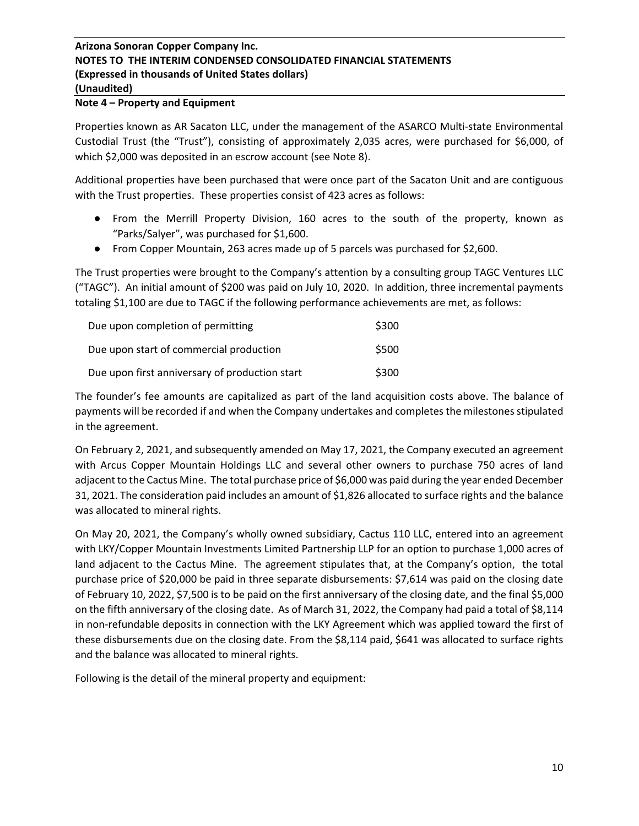#### **Note 4 – Property and Equipment**

Properties known as AR Sacaton LLC, under the management of the ASARCO Multi-state Environmental Custodial Trust (the "Trust"), consisting of approximately 2,035 acres, were purchased for \$6,000, of which \$2,000 was deposited in an escrow account (see Note 8).

Additional properties have been purchased that were once part of the Sacaton Unit and are contiguous with the Trust properties. These properties consist of 423 acres as follows:

- From the Merrill Property Division, 160 acres to the south of the property, known as "Parks/Salyer", was purchased for \$1,600.
- From Copper Mountain, 263 acres made up of 5 parcels was purchased for \$2,600.

The Trust properties were brought to the Company's attention by a consulting group TAGC Ventures LLC ("TAGC"). An initial amount of \$200 was paid on July 10, 2020. In addition, three incremental payments totaling \$1,100 are due to TAGC if the following performance achievements are met, as follows:

| Due upon completion of permitting              | \$300 |
|------------------------------------------------|-------|
| Due upon start of commercial production        | \$500 |
| Due upon first anniversary of production start | \$300 |

The founder's fee amounts are capitalized as part of the land acquisition costs above. The balance of payments will be recorded if and when the Company undertakes and completes the milestones stipulated in the agreement.

On February 2, 2021, and subsequently amended on May 17, 2021, the Company executed an agreement with Arcus Copper Mountain Holdings LLC and several other owners to purchase 750 acres of land adjacent to the Cactus Mine. The total purchase price of \$6,000 was paid during the year ended December 31, 2021. The consideration paid includes an amount of \$1,826 allocated to surface rights and the balance was allocated to mineral rights.

On May 20, 2021, the Company's wholly owned subsidiary, Cactus 110 LLC, entered into an agreement with LKY/Copper Mountain Investments Limited Partnership LLP for an option to purchase 1,000 acres of land adjacent to the Cactus Mine. The agreement stipulates that, at the Company's option, the total purchase price of \$20,000 be paid in three separate disbursements: \$7,614 was paid on the closing date of February 10, 2022, \$7,500 is to be paid on the first anniversary of the closing date, and the final \$5,000 on the fifth anniversary of the closing date. As of March 31, 2022, the Company had paid a total of \$8,114 in non-refundable deposits in connection with the LKY Agreement which was applied toward the first of these disbursements due on the closing date. From the \$8,114 paid, \$641 was allocated to surface rights and the balance was allocated to mineral rights.

Following is the detail of the mineral property and equipment: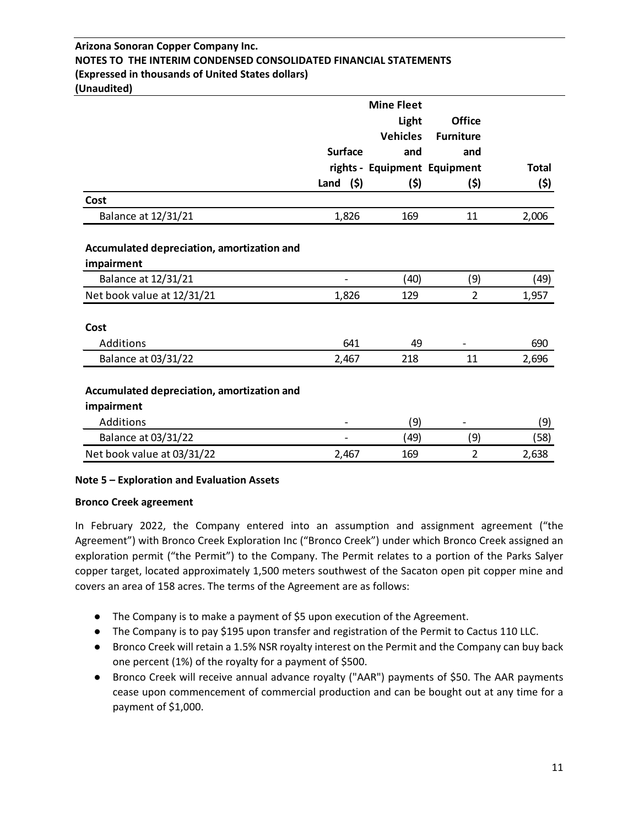|                                            |                | <b>Mine Fleet</b>            |                  |              |
|--------------------------------------------|----------------|------------------------------|------------------|--------------|
|                                            |                | Light                        | <b>Office</b>    |              |
|                                            |                | <b>Vehicles</b>              | <b>Furniture</b> |              |
|                                            | <b>Surface</b> | and                          | and              |              |
|                                            |                | rights - Equipment Equipment |                  | <b>Total</b> |
|                                            | Land<br>(5)    | (\$)                         | (\$)             | (\$)         |
| Cost                                       |                |                              |                  |              |
| Balance at 12/31/21                        | 1,826          | 169                          | 11               | 2,006        |
| Accumulated depreciation, amortization and |                |                              |                  |              |
| impairment                                 |                |                              |                  |              |
| Balance at 12/31/21                        |                | (40)                         | (9)              | (49)         |
| Net book value at 12/31/21                 | 1,826          | 129                          | $\overline{2}$   | 1,957        |
| Cost                                       |                |                              |                  |              |
| Additions                                  | 641            | 49                           |                  | 690          |
| Balance at 03/31/22                        | 2,467          | 218                          | 11               | 2,696        |
| Accumulated depreciation, amortization and |                |                              |                  |              |
| impairment                                 |                |                              |                  |              |
| Additions                                  |                | (9)                          |                  | (9)          |
| Balance at 03/31/22                        |                | (49)                         | (9)              | (58)         |
| Net book value at 03/31/22                 | 2,467          | 169                          | $\overline{2}$   | 2,638        |

## **Note 5 – Exploration and Evaluation Assets**

### **Bronco Creek agreement**

In February 2022, the Company entered into an assumption and assignment agreement ("the Agreement") with Bronco Creek Exploration Inc ("Bronco Creek") under which Bronco Creek assigned an exploration permit ("the Permit") to the Company. The Permit relates to a portion of the Parks Salyer copper target, located approximately 1,500 meters southwest of the Sacaton open pit copper mine and covers an area of 158 acres. The terms of the Agreement are as follows:

- The Company is to make a payment of \$5 upon execution of the Agreement.
- The Company is to pay \$195 upon transfer and registration of the Permit to Cactus 110 LLC.
- Bronco Creek will retain a 1.5% NSR royalty interest on the Permit and the Company can buy back one percent (1%) of the royalty for a payment of \$500.
- Bronco Creek will receive annual advance royalty ("AAR") payments of \$50. The AAR payments cease upon commencement of commercial production and can be bought out at any time for a payment of \$1,000.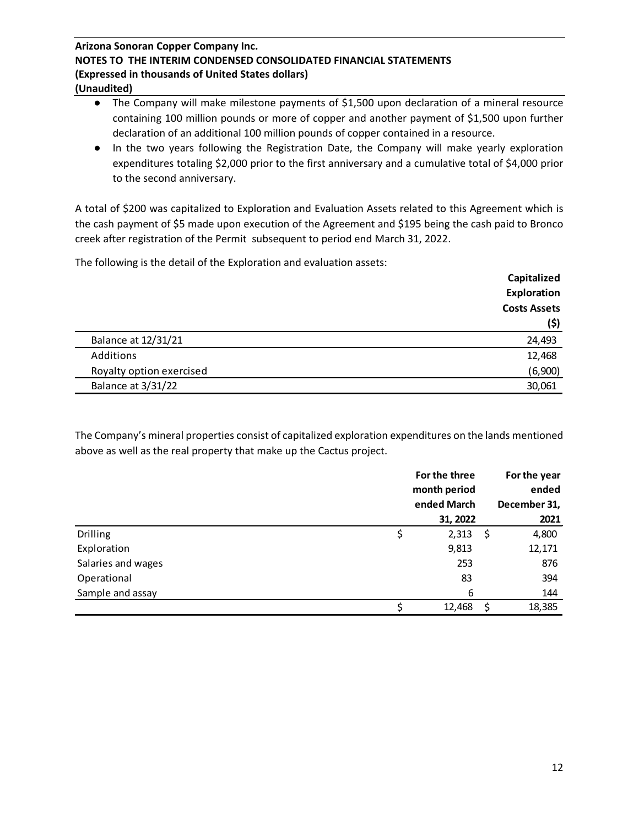- The Company will make milestone payments of \$1,500 upon declaration of a mineral resource containing 100 million pounds or more of copper and another payment of \$1,500 upon further declaration of an additional 100 million pounds of copper contained in a resource.
- In the two years following the Registration Date, the Company will make yearly exploration expenditures totaling \$2,000 prior to the first anniversary and a cumulative total of \$4,000 prior to the second anniversary.

A total of \$200 was capitalized to Exploration and Evaluation Assets related to this Agreement which is the cash payment of \$5 made upon execution of the Agreement and \$195 being the cash paid to Bronco creek after registration of the Permit subsequent to period end March 31, 2022.

The following is the detail of the Exploration and evaluation assets:

|                            | Capitalized         |
|----------------------------|---------------------|
|                            | Exploration         |
|                            | <b>Costs Assets</b> |
|                            | (5)                 |
| <b>Balance at 12/31/21</b> | 24,493              |
| Additions                  | 12,468              |
| Royalty option exercised   | (6,900)             |
| Balance at 3/31/22         | 30,061              |

The Company's mineral properties consist of capitalized exploration expenditures on the lands mentioned above as well as the real property that make up the Cactus project.

|                    | For the three<br>month period | For the year |              |  |
|--------------------|-------------------------------|--------------|--------------|--|
|                    | ended March                   |              | December 31, |  |
|                    | 31, 2022                      |              | 2021         |  |
| <b>Drilling</b>    | \$<br>2,313                   | Ş            | 4,800        |  |
| Exploration        | 9,813                         |              | 12,171       |  |
| Salaries and wages | 253                           |              | 876          |  |
| Operational        | 83                            |              | 394          |  |
| Sample and assay   | 6                             |              | 144          |  |
|                    | 12,468                        | Ś            | 18,385       |  |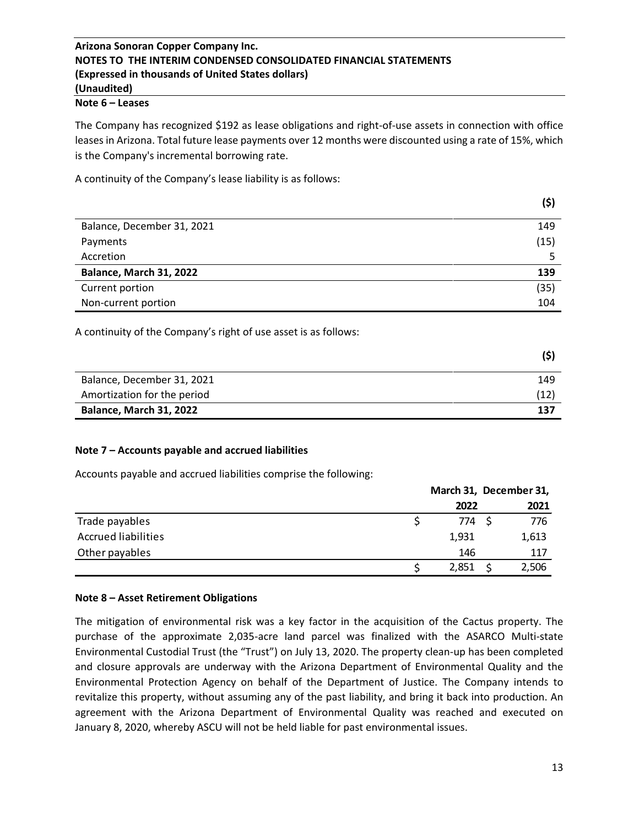## **Note 6 – Leases**

The Company has recognized \$192 as lease obligations and right-of-use assets in connection with office leases in Arizona. Total future lease payments over 12 months were discounted using a rate of 15%, which is the Company's incremental borrowing rate.

A continuity of the Company's lease liability is as follows:

|                            | (\$) |
|----------------------------|------|
| Balance, December 31, 2021 | 149  |
| Payments                   | (15) |
| Accretion                  |      |
| Balance, March 31, 2022    | 139  |
| Current portion            | (35) |
| Non-current portion        | 104  |

A continuity of the Company's right of use asset is as follows:

| Balance, December 31, 2021     | 149  |
|--------------------------------|------|
| Amortization for the period    | (12) |
| <b>Balance, March 31, 2022</b> | 137  |

## **Note 7 – Accounts payable and accrued liabilities**

Accounts payable and accrued liabilities comprise the following:

|                            | March 31, December 31, |  |       |
|----------------------------|------------------------|--|-------|
|                            | 2022                   |  | 2021  |
| Trade payables             | 774 S                  |  | 776   |
| <b>Accrued liabilities</b> | 1,931                  |  | 1,613 |
| Other payables             | 146                    |  | 117   |
|                            | 2,851                  |  | 2,506 |

### **Note 8 – Asset Retirement Obligations**

The mitigation of environmental risk was a key factor in the acquisition of the Cactus property. The purchase of the approximate 2,035-acre land parcel was finalized with the ASARCO Multi-state Environmental Custodial Trust (the "Trust") on July 13, 2020. The property clean-up has been completed and closure approvals are underway with the Arizona Department of Environmental Quality and the Environmental Protection Agency on behalf of the Department of Justice. The Company intends to revitalize this property, without assuming any of the past liability, and bring it back into production. An agreement with the Arizona Department of Environmental Quality was reached and executed on January 8, 2020, whereby ASCU will not be held liable for past environmental issues.

**(\$)**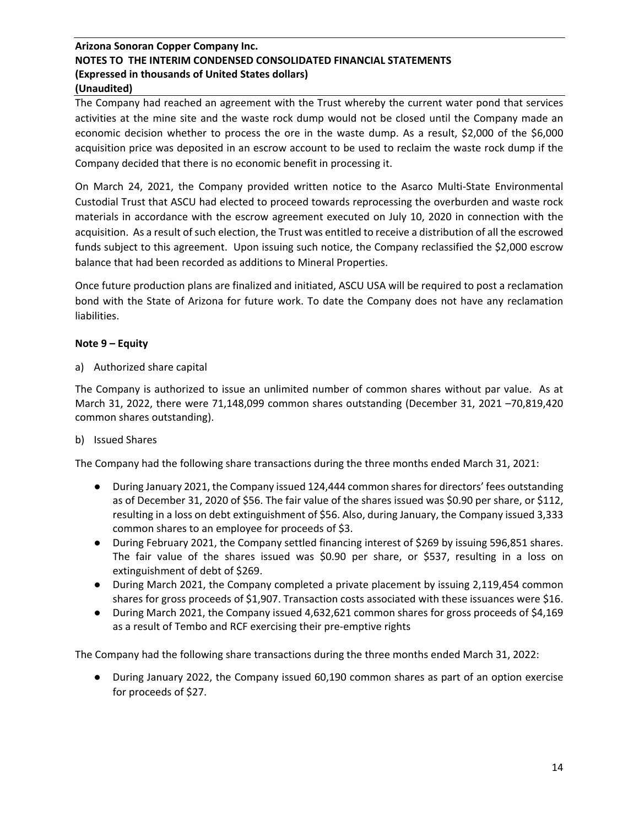The Company had reached an agreement with the Trust whereby the current water pond that services activities at the mine site and the waste rock dump would not be closed until the Company made an economic decision whether to process the ore in the waste dump. As a result, \$2,000 of the \$6,000 acquisition price was deposited in an escrow account to be used to reclaim the waste rock dump if the Company decided that there is no economic benefit in processing it.

On March 24, 2021, the Company provided written notice to the Asarco Multi-State Environmental Custodial Trust that ASCU had elected to proceed towards reprocessing the overburden and waste rock materials in accordance with the escrow agreement executed on July 10, 2020 in connection with the acquisition. As a result of such election, the Trust was entitled to receive a distribution of all the escrowed funds subject to this agreement. Upon issuing such notice, the Company reclassified the \$2,000 escrow balance that had been recorded as additions to Mineral Properties.

Once future production plans are finalized and initiated, ASCU USA will be required to post a reclamation bond with the State of Arizona for future work. To date the Company does not have any reclamation liabilities.

### **Note 9 – Equity**

a) Authorized share capital

The Company is authorized to issue an unlimited number of common shares without par value. As at March 31, 2022, there were 71,148,099 common shares outstanding (December 31, 2021 –70,819,420 common shares outstanding).

### b) Issued Shares

The Company had the following share transactions during the three months ended March 31, 2021:

- During January 2021, the Company issued 124,444 common shares for directors' fees outstanding as of December 31, 2020 of \$56. The fair value of the shares issued was \$0.90 per share, or \$112, resulting in a loss on debt extinguishment of \$56. Also, during January, the Company issued 3,333 common shares to an employee for proceeds of \$3.
- During February 2021, the Company settled financing interest of \$269 by issuing 596,851 shares. The fair value of the shares issued was \$0.90 per share, or \$537, resulting in a loss on extinguishment of debt of \$269.
- During March 2021, the Company completed a private placement by issuing 2,119,454 common shares for gross proceeds of \$1,907. Transaction costs associated with these issuances were \$16.
- During March 2021, the Company issued 4,632,621 common shares for gross proceeds of \$4,169 as a result of Tembo and RCF exercising their pre-emptive rights

The Company had the following share transactions during the three months ended March 31, 2022:

● During January 2022, the Company issued 60,190 common shares as part of an option exercise for proceeds of \$27.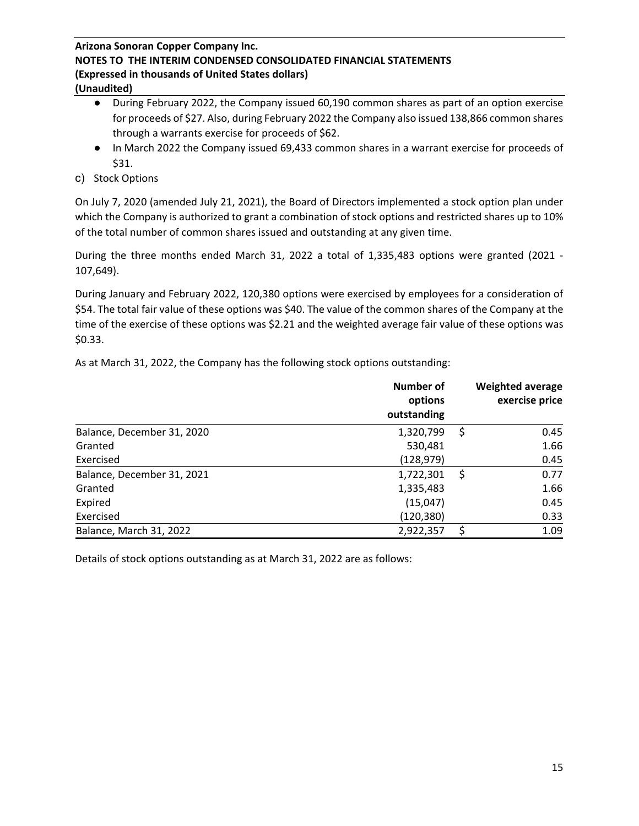- During February 2022, the Company issued 60,190 common shares as part of an option exercise for proceeds of \$27. Also, during February 2022 the Company also issued 138,866 common shares through a warrants exercise for proceeds of \$62.
- In March 2022 the Company issued 69,433 common shares in a warrant exercise for proceeds of \$31.
- c) Stock Options

On July 7, 2020 (amended July 21, 2021), the Board of Directors implemented a stock option plan under which the Company is authorized to grant a combination of stock options and restricted shares up to 10% of the total number of common shares issued and outstanding at any given time.

During the three months ended March 31, 2022 a total of 1,335,483 options were granted (2021 - 107,649).

During January and February 2022, 120,380 options were exercised by employees for a consideration of \$54. The total fair value of these options was \$40. The value of the common shares of the Company at the time of the exercise of these options was \$2.21 and the weighted average fair value of these options was \$0.33.

|                            | Number of<br>options<br>outstanding |    | <b>Weighted average</b><br>exercise price |
|----------------------------|-------------------------------------|----|-------------------------------------------|
| Balance, December 31, 2020 | 1,320,799                           | S  | 0.45                                      |
| Granted                    | 530,481                             |    | 1.66                                      |
| Exercised                  | (128, 979)                          |    | 0.45                                      |
| Balance, December 31, 2021 | 1,722,301                           | S  | 0.77                                      |
| Granted                    | 1,335,483                           |    | 1.66                                      |
| Expired                    | (15,047)                            |    | 0.45                                      |
| Exercised                  | (120, 380)                          |    | 0.33                                      |
| Balance, March 31, 2022    | 2,922,357                           | \$ | 1.09                                      |

As at March 31, 2022, the Company has the following stock options outstanding:

Details of stock options outstanding as at March 31, 2022 are as follows: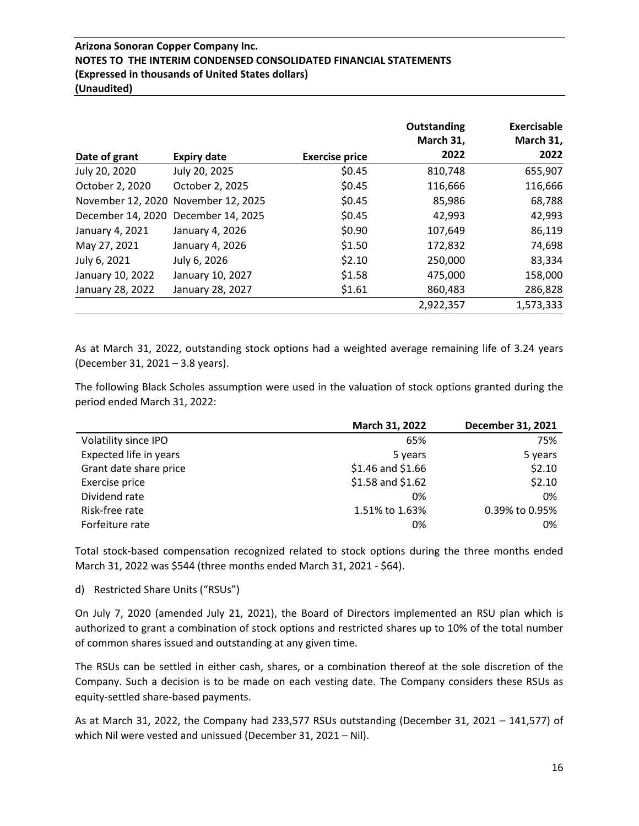| Date of grant                       | <b>Expiry date</b>                  | <b>Exercise price</b> | <b>Outstanding</b><br>March 31,<br>2022 | <b>Exercisable</b><br>March 31,<br>2022 |
|-------------------------------------|-------------------------------------|-----------------------|-----------------------------------------|-----------------------------------------|
| July 20, 2020                       | July 20, 2025                       | \$0.45                | 810,748                                 | 655,907                                 |
| October 2, 2020                     | October 2, 2025                     | \$0.45                | 116,666                                 | 116,666                                 |
|                                     | November 12, 2020 November 12, 2025 | \$0.45                | 85,986                                  | 68,788                                  |
| December 14, 2020 December 14, 2025 |                                     | \$0.45                | 42,993                                  | 42,993                                  |
| January 4, 2021                     | January 4, 2026                     | \$0.90                | 107,649                                 | 86,119                                  |
| May 27, 2021                        | January 4, 2026                     | \$1.50                | 172,832                                 | 74,698                                  |
| July 6, 2021                        | July 6, 2026                        | \$2.10                | 250,000                                 | 83,334                                  |
| January 10, 2022                    | January 10, 2027                    | \$1.58                | 475,000                                 | 158,000                                 |
| January 28, 2022                    | January 28, 2027                    | \$1.61                | 860,483                                 | 286,828                                 |
|                                     |                                     |                       | 2,922,357                               | 1,573,333                               |

As at March 31, 2022, outstanding stock options had a weighted average remaining life of 3.24 years (December 31, 2021 – 3.8 years).

The following Black Scholes assumption were used in the valuation of stock options granted during the period ended March 31, 2022:

|                        | March 31, 2022      | December 31, 2021 |
|------------------------|---------------------|-------------------|
| Volatility since IPO   | 65%                 | 75%               |
| Expected life in years | 5 years             | 5 years           |
| Grant date share price | $$1.46$ and $$1.66$ | \$2.10            |
| Exercise price         | $$1.58$ and $$1.62$ | \$2.10            |
| Dividend rate          | 0%                  | 0%                |
| Risk-free rate         | 1.51% to 1.63%      | 0.39% to 0.95%    |
| Forfeiture rate        | 0%                  | 0%                |

Total stock-based compensation recognized related to stock options during the three months ended March 31, 2022 was \$544 (three months ended March 31, 2021 - \$64).

### d) Restricted Share Units ("RSUs")

On July 7, 2020 (amended July 21, 2021), the Board of Directors implemented an RSU plan which is authorized to grant a combination of stock options and restricted shares up to 10% of the total number of common shares issued and outstanding at any given time.

The RSUs can be settled in either cash, shares, or a combination thereof at the sole discretion of the Company. Such a decision is to be made on each vesting date. The Company considers these RSUs as equity-settled share-based payments.

As at March 31, 2022, the Company had 233,577 RSUs outstanding (December 31, 2021 – 141,577) of which Nil were vested and unissued (December 31, 2021 – Nil).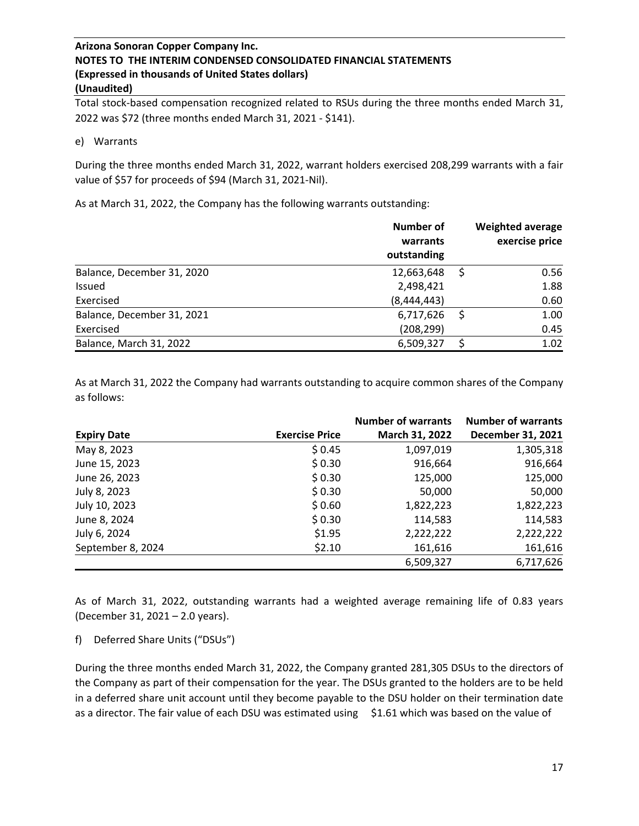Total stock-based compensation recognized related to RSUs during the three months ended March 31, 2022 was \$72 (three months ended March 31, 2021 - \$141).

#### e) Warrants

During the three months ended March 31, 2022, warrant holders exercised 208,299 warrants with a fair value of \$57 for proceeds of \$94 (March 31, 2021-Nil).

As at March 31, 2022, the Company has the following warrants outstanding:

|                            | Number of<br>warrants<br>outstanding | <b>Weighted average</b><br>exercise price |
|----------------------------|--------------------------------------|-------------------------------------------|
| Balance, December 31, 2020 | 12,663,648                           | 0.56                                      |
| <b>Issued</b>              | 2,498,421                            | 1.88                                      |
| Exercised                  | (8,444,443)                          | 0.60                                      |
| Balance, December 31, 2021 | 6,717,626                            | 1.00                                      |
| Exercised                  | (208, 299)                           | 0.45                                      |
| Balance, March 31, 2022    | 6,509,327                            | 1.02                                      |

As at March 31, 2022 the Company had warrants outstanding to acquire common shares of the Company as follows:

|                    |                       | <b>Number of warrants</b> | <b>Number of warrants</b> |
|--------------------|-----------------------|---------------------------|---------------------------|
| <b>Expiry Date</b> | <b>Exercise Price</b> | March 31, 2022            | December 31, 2021         |
| May 8, 2023        | \$0.45                | 1,097,019                 | 1,305,318                 |
| June 15, 2023      | \$0.30                | 916,664                   | 916,664                   |
| June 26, 2023      | \$0.30                | 125,000                   | 125,000                   |
| July 8, 2023       | \$0.30                | 50,000                    | 50,000                    |
| July 10, 2023      | \$0.60                | 1,822,223                 | 1,822,223                 |
| June 8, 2024       | \$0.30                | 114,583                   | 114,583                   |
| July 6, 2024       | \$1.95                | 2,222,222                 | 2,222,222                 |
| September 8, 2024  | \$2.10                | 161,616                   | 161,616                   |
|                    |                       | 6,509,327                 | 6,717,626                 |

As of March 31, 2022, outstanding warrants had a weighted average remaining life of 0.83 years (December 31, 2021 – 2.0 years).

f) Deferred Share Units ("DSUs")

During the three months ended March 31, 2022, the Company granted 281,305 DSUs to the directors of the Company as part of their compensation for the year. The DSUs granted to the holders are to be held in a deferred share unit account until they become payable to the DSU holder on their termination date as a director. The fair value of each DSU was estimated using \$1.61 which was based on the value of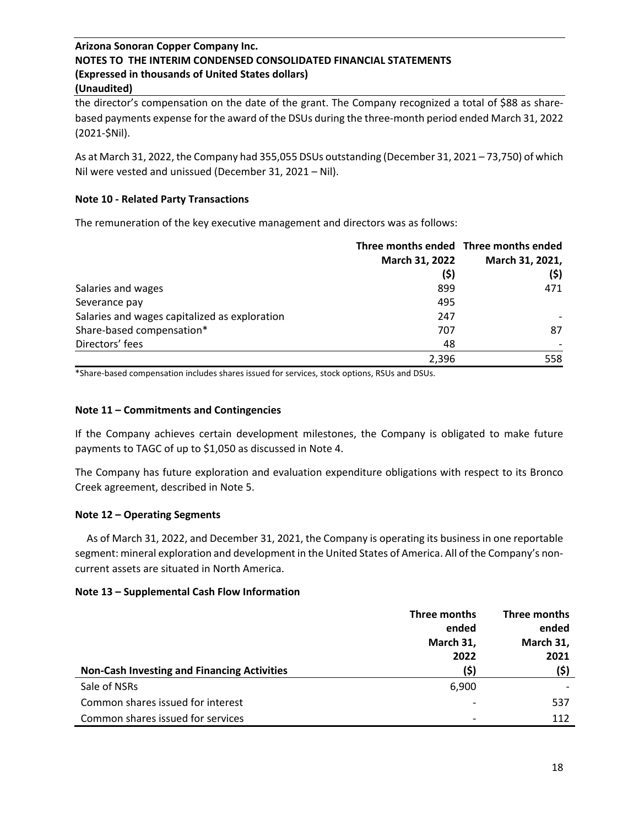the director's compensation on the date of the grant. The Company recognized a total of \$88 as sharebased payments expense for the award of the DSUs during the three-month period ended March 31, 2022 (2021-\$Nil).

As at March 31, 2022, the Company had 355,055 DSUs outstanding (December 31, 2021 – 73,750) of which Nil were vested and unissued (December 31, 2021 – Nil).

## **Note 10 - Related Party Transactions**

The remuneration of the key executive management and directors was as follows:

|                                               |                | Three months ended Three months ended |
|-----------------------------------------------|----------------|---------------------------------------|
|                                               | March 31, 2022 | March 31, 2021,                       |
|                                               | (\$)           | (\$)                                  |
| Salaries and wages                            | 899            | 471                                   |
| Severance pay                                 | 495            |                                       |
| Salaries and wages capitalized as exploration | 247            |                                       |
| Share-based compensation*                     | 707            | 87                                    |
| Directors' fees                               | 48             |                                       |
|                                               | 2,396          | 558                                   |

\*Share-based compensation includes shares issued for services, stock options, RSUs and DSUs.

## **Note 11 – Commitments and Contingencies**

If the Company achieves certain development milestones, the Company is obligated to make future payments to TAGC of up to \$1,050 as discussed in Note 4.

The Company has future exploration and evaluation expenditure obligations with respect to its Bronco Creek agreement, described in Note 5.

### **Note 12 – Operating Segments**

 As of March 31, 2022, and December 31, 2021, the Company is operating its business in one reportable segment: mineral exploration and development in the United States of America. All of the Company's noncurrent assets are situated in North America.

### **Note 13 – Supplemental Cash Flow Information**

|                                                    | Three months | Three months |
|----------------------------------------------------|--------------|--------------|
|                                                    | ended        | ended        |
|                                                    | March 31,    | March 31,    |
|                                                    | 2022         | 2021         |
| <b>Non-Cash Investing and Financing Activities</b> | (\$)         | (\$)         |
| Sale of NSRs                                       | 6,900        |              |
| Common shares issued for interest                  |              | 537          |
| Common shares issued for services                  |              | 112          |